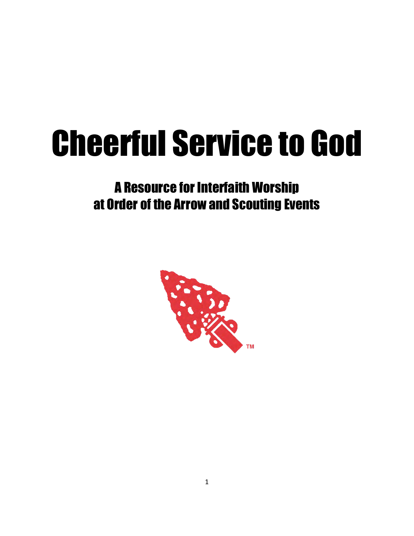# Cheerful Service to God

# A Resource for Interfaith Worship at Order of the Arrow and Scouting Events

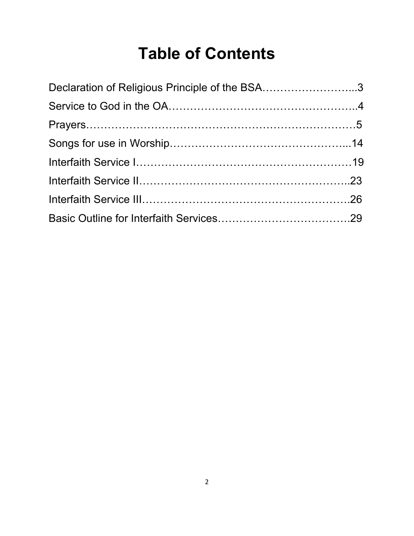# **Table of Contents**

| Declaration of Religious Principle of the BSA3 |  |
|------------------------------------------------|--|
|                                                |  |
|                                                |  |
|                                                |  |
|                                                |  |
|                                                |  |
|                                                |  |
|                                                |  |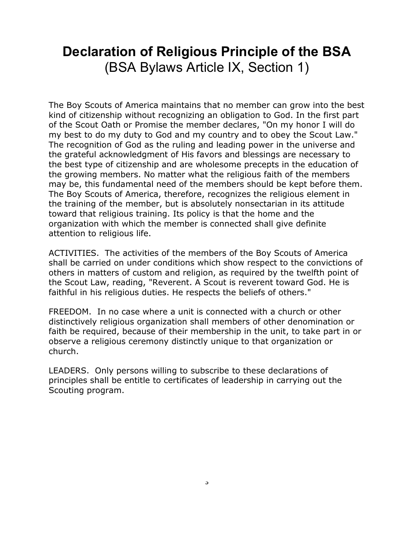# **Declaration of Religious Principle of the BSA** (BSA Bylaws Article IX, Section 1)

The Boy Scouts of America maintains that no member can grow into the best kind of citizenship without recognizing an obligation to God. In the first part of the Scout Oath or Promise the member declares, "On my honor I will do my best to do my duty to God and my country and to obey the Scout Law." The recognition of God as the ruling and leading power in the universe and the grateful acknowledgment of His favors and blessings are necessary to the best type of citizenship and are wholesome precepts in the education of the growing members. No matter what the religious faith of the members may be, this fundamental need of the members should be kept before them. The Boy Scouts of America, therefore, recognizes the religious element in the training of the member, but is absolutely nonsectarian in its attitude toward that religious training. Its policy is that the home and the organization with which the member is connected shall give definite attention to religious life.

ACTIVITIES. The activities of the members of the Boy Scouts of America shall be carried on under conditions which show respect to the convictions of others in matters of custom and religion, as required by the twelfth point of the Scout Law, reading, "Reverent. A Scout is reverent toward God. He is faithful in his religious duties. He respects the beliefs of others."

FREEDOM. In no case where a unit is connected with a church or other distinctively religious organization shall members of other denomination or faith be required, because of their membership in the unit, to take part in or observe a religious ceremony distinctly unique to that organization or church.

LEADERS. Only persons willing to subscribe to these declarations of principles shall be entitle to certificates of leadership in carrying out the Scouting program.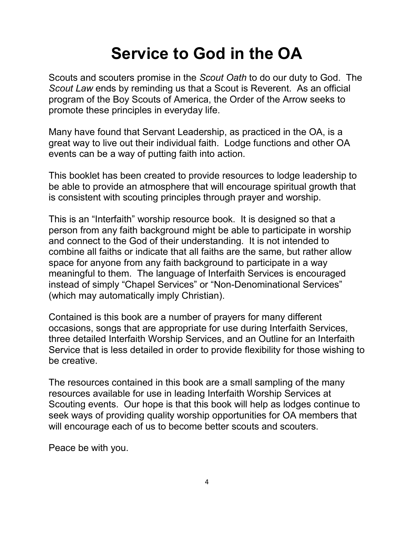# **Service to God in the OA**

Scouts and scouters promise in the *Scout Oath* to do our duty to God. The *Scout Law* ends by reminding us that a Scout is Reverent. As an official program of the Boy Scouts of America, the Order of the Arrow seeks to promote these principles in everyday life.

Many have found that Servant Leadership, as practiced in the OA, is a great way to live out their individual faith. Lodge functions and other OA events can be a way of putting faith into action.

This booklet has been created to provide resources to lodge leadership to be able to provide an atmosphere that will encourage spiritual growth that is consistent with scouting principles through prayer and worship.

This is an "Interfaith" worship resource book. It is designed so that a person from any faith background might be able to participate in worship and connect to the God of their understanding. It is not intended to combine all faiths or indicate that all faiths are the same, but rather allow space for anyone from any faith background to participate in a way meaningful to them. The language of Interfaith Services is encouraged instead of simply "Chapel Services" or "Non-Denominational Services" (which may automatically imply Christian).

Contained is this book are a number of prayers for many different occasions, songs that are appropriate for use during Interfaith Services, three detailed Interfaith Worship Services, and an Outline for an Interfaith Service that is less detailed in order to provide flexibility for those wishing to be creative.

The resources contained in this book are a small sampling of the many resources available for use in leading Interfaith Worship Services at Scouting events. Our hope is that this book will help as lodges continue to seek ways of providing quality worship opportunities for OA members that will encourage each of us to become better scouts and scouters.

Peace be with you.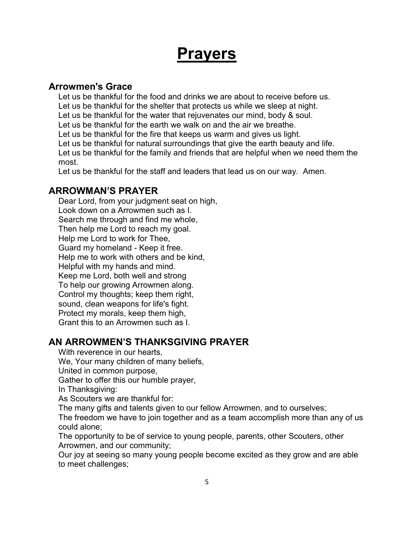# **Prayers**

# **Arrowmen's Grace**

Let us be thankful for the food and drinks we are about to receive before us. Let us be thankful for the shelter that protects us while we sleep at night. Let us be thankful for the water that rejuvenates our mind, body & soul. Let us be thankful for the earth we walk on and the air we breathe. Let us be thankful for the fire that keeps us warm and gives us light. Let us be thankful for natural surroundings that give the earth beauty and life. Let us be thankful for the family and friends that are helpful when we need them the most. Let us be thankful for the staff and leaders that lead us on our way. Amen.

# **ARROWMAN'S PRAYER**

Dear Lord, from your judgment seat on high, Look down on a Arrowmen such as I. Search me through and find me whole, Then help me Lord to reach my goal. Help me Lord to work for Thee, Guard my homeland - Keep it free. Help me to work with others and be kind, Helpful with my hands and mind. Keep me Lord, both well and strong To help our growing Arrowmen along. Control my thoughts; keep them right, sound, clean weapons for life's fight. Protect my morals, keep them high, Grant this to an Arrowmen such as I.

# **AN ARROWMEN'S THANKSGIVING PRAYER**

With reverence in our hearts.

We, Your many children of many beliefs,

United in common purpose,

Gather to offer this our humble prayer,

In Thanksgiving:

As Scouters we are thankful for:

The many gifts and talents given to our fellow Arrowmen, and to ourselves;

The freedom we have to join together and as a team accomplish more than any of us could alone;

The opportunity to be of service to young people, parents, other Scouters, other Arrowmen, and our community;

Our joy at seeing so many young people become excited as they grow and are able to meet challenges;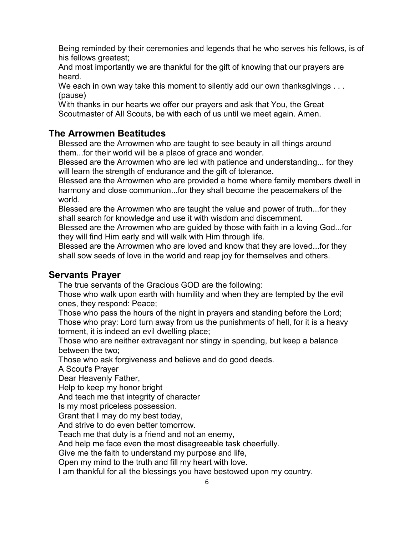Being reminded by their ceremonies and legends that he who serves his fellows, is of his fellows greatest;

And most importantly we are thankful for the gift of knowing that our prayers are heard.

We each in own way take this moment to silently add our own thanksgivings . . . (pause)

With thanks in our hearts we offer our prayers and ask that You, the Great Scoutmaster of All Scouts, be with each of us until we meet again. Amen.

# **The Arrowmen Beatitudes**

Blessed are the Arrowmen who are taught to see beauty in all things around them...for their world will be a place of grace and wonder.

Blessed are the Arrowmen who are led with patience and understanding... for they will learn the strength of endurance and the gift of tolerance.

Blessed are the Arrowmen who are provided a home where family members dwell in harmony and close communion...for they shall become the peacemakers of the world.

Blessed are the Arrowmen who are taught the value and power of truth...for they shall search for knowledge and use it with wisdom and discernment.

Blessed are the Arrowmen who are guided by those with faith in a loving God...for they will find Him early and will walk with Him through life.

Blessed are the Arrowmen who are loved and know that they are loved...for they shall sow seeds of love in the world and reap joy for themselves and others.

# **Servants Prayer**

The true servants of the Gracious GOD are the following:

Those who walk upon earth with humility and when they are tempted by the evil ones, they respond: Peace;

Those who pass the hours of the night in prayers and standing before the Lord; Those who pray: Lord turn away from us the punishments of hell, for it is a heavy torment, it is indeed an evil dwelling place;

Those who are neither extravagant nor stingy in spending, but keep a balance between the two;

Those who ask forgiveness and believe and do good deeds.

A Scout's Prayer

Dear Heavenly Father,

Help to keep my honor bright

And teach me that integrity of character

Is my most priceless possession.

Grant that I may do my best today,

And strive to do even better tomorrow.

Teach me that duty is a friend and not an enemy,

And help me face even the most disagreeable task cheerfully.

Give me the faith to understand my purpose and life,

Open my mind to the truth and fill my heart with love.

I am thankful for all the blessings you have bestowed upon my country.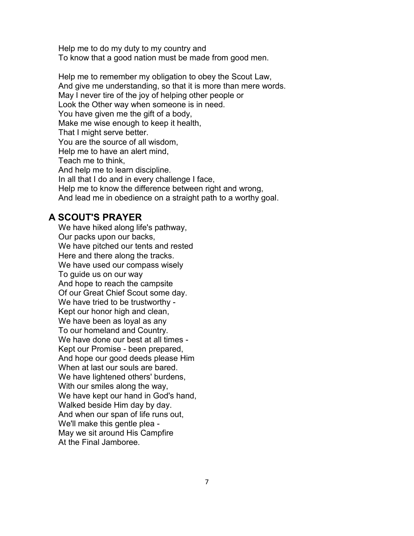Help me to do my duty to my country and To know that a good nation must be made from good men.

Help me to remember my obligation to obey the Scout Law, And give me understanding, so that it is more than mere words. May I never tire of the joy of helping other people or Look the Other way when someone is in need. You have given me the gift of a body, Make me wise enough to keep it health, That I might serve better. You are the source of all wisdom, Help me to have an alert mind, Teach me to think, And help me to learn discipline. In all that I do and in every challenge I face, Help me to know the difference between right and wrong, And lead me in obedience on a straight path to a worthy goal.

# **A SCOUT'S PRAYER**

We have hiked along life's pathway, Our packs upon our backs, We have pitched our tents and rested Here and there along the tracks. We have used our compass wisely To guide us on our way And hope to reach the campsite Of our Great Chief Scout some day. We have tried to be trustworthy - Kept our honor high and clean, We have been as loyal as any To our homeland and Country. We have done our best at all times -Kept our Promise - been prepared, And hope our good deeds please Him When at last our souls are bared. We have lightened others' burdens, With our smiles along the way, We have kept our hand in God's hand, Walked beside Him day by day. And when our span of life runs out, We'll make this gentle plea - May we sit around His Campfire At the Final Jamboree.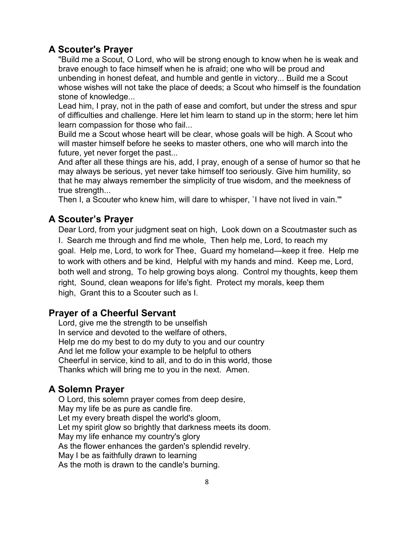# **A Scouter's Prayer**

"Build me a Scout, O Lord, who will be strong enough to know when he is weak and brave enough to face himself when he is afraid; one who will be proud and unbending in honest defeat, and humble and gentle in victory... Build me a Scout whose wishes will not take the place of deeds; a Scout who himself is the foundation stone of knowledge...

Lead him, I pray, not in the path of ease and comfort, but under the stress and spur of difficulties and challenge. Here let him learn to stand up in the storm; here let him learn compassion for those who fail...

Build me a Scout whose heart will be clear, whose goals will be high. A Scout who will master himself before he seeks to master others, one who will march into the future, yet never forget the past...

And after all these things are his, add, I pray, enough of a sense of humor so that he may always be serious, yet never take himself too seriously. Give him humility, so that he may always remember the simplicity of true wisdom, and the meekness of true strength...

Then I, a Scouter who knew him, will dare to whisper, `I have not lived in vain.'"

# **A Scouter's Prayer**

Dear Lord, from your judgment seat on high, Look down on a Scoutmaster such as I. Search me through and find me whole, Then help me, Lord, to reach my goal. Help me, Lord, to work for Thee, Guard my homeland—keep it free. Help me to work with others and be kind, Helpful with my hands and mind. Keep me, Lord, both well and strong, To help growing boys along. Control my thoughts, keep them right, Sound, clean weapons for life's fight. Protect my morals, keep them high, Grant this to a Scouter such as I.

# **Prayer of a Cheerful Servant**

Lord, give me the strength to be unselfish In service and devoted to the welfare of others, Help me do my best to do my duty to you and our country And let me follow your example to be helpful to others Cheerful in service, kind to all, and to do in this world, those Thanks which will bring me to you in the next. Amen.

# **A Solemn Prayer**

O Lord, this solemn prayer comes from deep desire, May my life be as pure as candle fire. Let my every breath dispel the world's gloom, Let my spirit glow so brightly that darkness meets its doom. May my life enhance my country's glory As the flower enhances the garden's splendid revelry. May I be as faithfully drawn to learning As the moth is drawn to the candle's burning.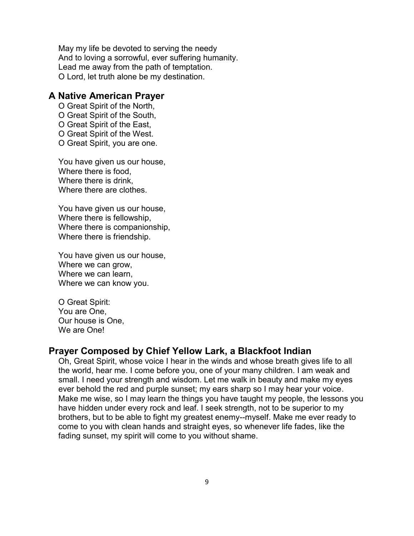May my life be devoted to serving the needy And to loving a sorrowful, ever suffering humanity. Lead me away from the path of temptation. O Lord, let truth alone be my destination.

#### **A Native American Prayer**

- O Great Spirit of the North,
- O Great Spirit of the South,
- O Great Spirit of the East,
- O Great Spirit of the West.
- O Great Spirit, you are one.

You have given us our house, Where there is food, Where there is drink Where there are clothes.

You have given us our house, Where there is fellowship, Where there is companionship, Where there is friendship.

You have given us our house, Where we can grow, Where we can learn, Where we can know you.

O Great Spirit: You are One, Our house is One, We are One!

## **Prayer Composed by Chief Yellow Lark, a Blackfoot Indian**

Oh, Great Spirit, whose voice I hear in the winds and whose breath gives life to all the world, hear me. I come before you, one of your many children. I am weak and small. I need your strength and wisdom. Let me walk in beauty and make my eyes ever behold the red and purple sunset; my ears sharp so I may hear your voice. Make me wise, so I may learn the things you have taught my people, the lessons you have hidden under every rock and leaf. I seek strength, not to be superior to my brothers, but to be able to fight my greatest enemy--myself. Make me ever ready to come to you with clean hands and straight eyes, so whenever life fades, like the fading sunset, my spirit will come to you without shame.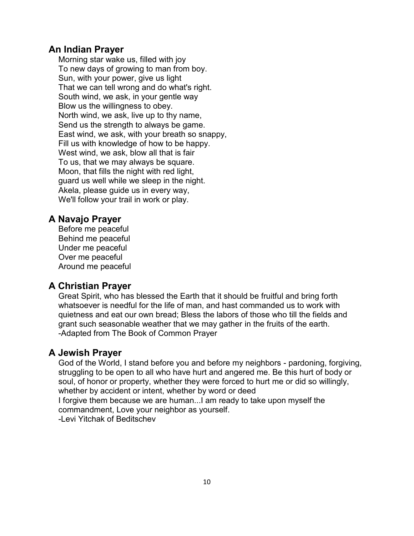# **An Indian Prayer**

Morning star wake us, filled with joy To new days of growing to man from boy. Sun, with your power, give us light That we can tell wrong and do what's right. South wind, we ask, in your gentle way Blow us the willingness to obey. North wind, we ask, live up to thy name, Send us the strength to always be game. East wind, we ask, with your breath so snappy, Fill us with knowledge of how to be happy. West wind, we ask, blow all that is fair To us, that we may always be square. Moon, that fills the night with red light, guard us well while we sleep in the night. Akela, please guide us in every way, We'll follow your trail in work or play.

# **A Navajo Prayer**

Before me peaceful Behind me peaceful Under me peaceful Over me peaceful Around me peaceful

# **A Christian Prayer**

Great Spirit, who has blessed the Earth that it should be fruitful and bring forth whatsoever is needful for the life of man, and hast commanded us to work with quietness and eat our own bread; Bless the labors of those who till the fields and grant such seasonable weather that we may gather in the fruits of the earth. -Adapted from The Book of Common Prayer

# **A Jewish Prayer**

God of the World, I stand before you and before my neighbors - pardoning, forgiving, struggling to be open to all who have hurt and angered me. Be this hurt of body or soul, of honor or property, whether they were forced to hurt me or did so willingly, whether by accident or intent, whether by word or deed I forgive them because we are human...I am ready to take upon myself the

commandment, Love your neighbor as yourself.

-Levi Yitchak of Beditschev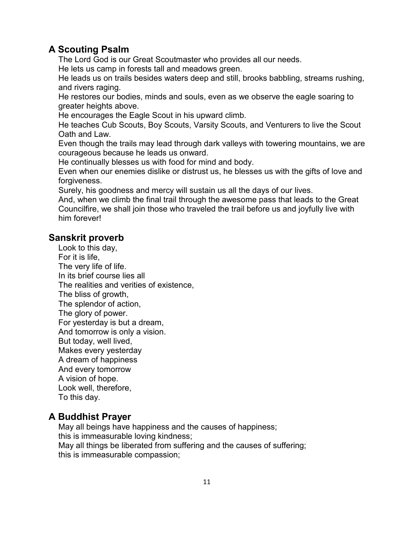# **A Scouting Psalm**

The Lord God is our Great Scoutmaster who provides all our needs.

He lets us camp in forests tall and meadows green.

He leads us on trails besides waters deep and still, brooks babbling, streams rushing, and rivers raging.

He restores our bodies, minds and souls, even as we observe the eagle soaring to greater heights above.

He encourages the Eagle Scout in his upward climb.

He teaches Cub Scouts, Boy Scouts, Varsity Scouts, and Venturers to live the Scout Oath and Law.

Even though the trails may lead through dark valleys with towering mountains, we are courageous because he leads us onward.

He continually blesses us with food for mind and body.

Even when our enemies dislike or distrust us, he blesses us with the gifts of love and forgiveness.

Surely, his goodness and mercy will sustain us all the days of our lives.

And, when we climb the final trail through the awesome pass that leads to the Great Councilfire, we shall join those who traveled the trail before us and joyfully live with him forever!

# **Sanskrit proverb**

Look to this day, For it is life, The very life of life. In its brief course lies all The realities and verities of existence, The bliss of growth, The splendor of action, The glory of power. For yesterday is but a dream, And tomorrow is only a vision. But today, well lived, Makes every yesterday A dream of happiness And every tomorrow A vision of hope. Look well, therefore, To this day.

# **A Buddhist Prayer**

May all beings have happiness and the causes of happiness; this is immeasurable loving kindness; May all things be liberated from suffering and the causes of suffering; this is immeasurable compassion;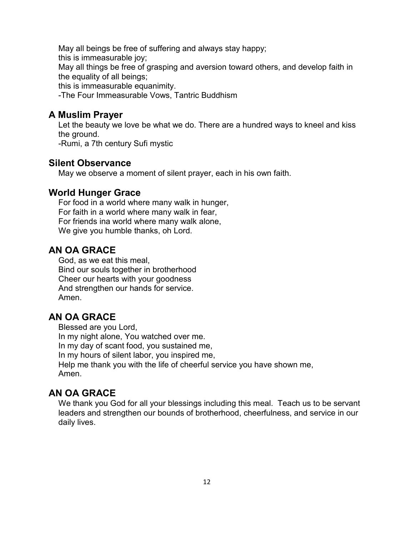May all beings be free of suffering and always stay happy; this is immeasurable joy; May all things be free of grasping and aversion toward others, and develop faith in the equality of all beings; this is immeasurable equanimity. -The Four Immeasurable Vows, Tantric Buddhism

## **A Muslim Prayer**

Let the beauty we love be what we do. There are a hundred ways to kneel and kiss the ground.

-Rumi, a 7th century Sufi mystic

### **Silent Observance**

May we observe a moment of silent prayer, each in his own faith.

### **World Hunger Grace**

For food in a world where many walk in hunger, For faith in a world where many walk in fear, For friends ina world where many walk alone, We give you humble thanks, oh Lord.

# **AN OA GRACE**

God, as we eat this meal, Bind our souls together in brotherhood Cheer our hearts with your goodness And strengthen our hands for service. Amen.

# **AN OA GRACE**

Blessed are you Lord, In my night alone, You watched over me. In my day of scant food, you sustained me, In my hours of silent labor, you inspired me, Help me thank you with the life of cheerful service you have shown me, Amen.

# **AN OA GRACE**

We thank you God for all your blessings including this meal. Teach us to be servant leaders and strengthen our bounds of brotherhood, cheerfulness, and service in our daily lives.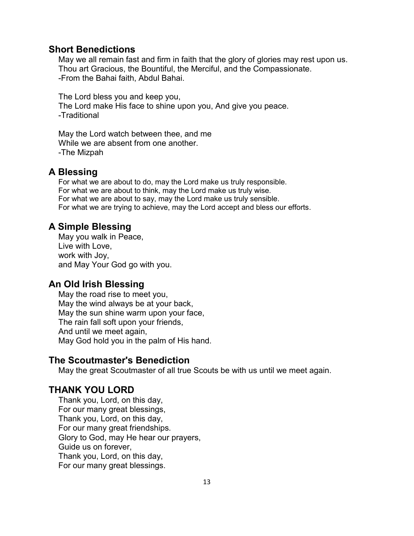## **Short Benedictions**

May we all remain fast and firm in faith that the glory of glories may rest upon us. Thou art Gracious, the Bountiful, the Merciful, and the Compassionate. -From the Bahai faith, Abdul Bahai.

The Lord bless you and keep you, The Lord make His face to shine upon you, And give you peace. -Traditional

May the Lord watch between thee, and me While we are absent from one another. -The Mizpah

### **A Blessing**

For what we are about to do, may the Lord make us truly responsible. For what we are about to think, may the Lord make us truly wise. For what we are about to say, may the Lord make us truly sensible. For what we are trying to achieve, may the Lord accept and bless our efforts.

# **A Simple Blessing**

May you walk in Peace, Live with Love, work with Joy, and May Your God go with you.

# **An Old Irish Blessing**

May the road rise to meet you, May the wind always be at your back, May the sun shine warm upon your face, The rain fall soft upon your friends, And until we meet again, May God hold you in the palm of His hand.

#### **The Scoutmaster's Benediction**

May the great Scoutmaster of all true Scouts be with us until we meet again.

# **THANK YOU LORD**

Thank you, Lord, on this day, For our many great blessings, Thank you, Lord, on this day, For our many great friendships. Glory to God, may He hear our prayers, Guide us on forever, Thank you, Lord, on this day, For our many great blessings.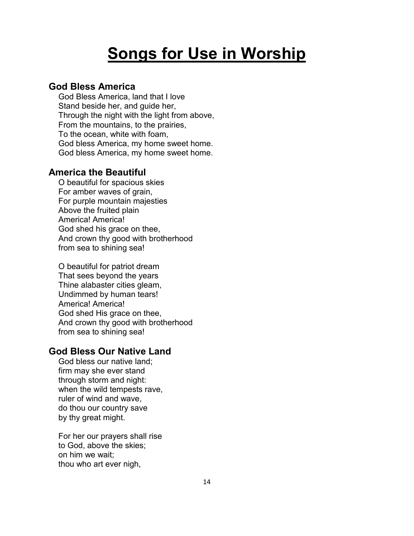# **Songs for Use in Worship**

# **God Bless America**

God Bless America, land that I love Stand beside her, and guide her, Through the night with the light from above, From the mountains, to the prairies, To the ocean, white with foam, God bless America, my home sweet home. God bless America, my home sweet home.

# **America the Beautiful**

O beautiful for spacious skies For amber waves of grain, For purple mountain majesties Above the fruited plain America! America! God shed his grace on thee, And crown thy good with brotherhood from sea to shining sea!

O beautiful for patriot dream That sees beyond the years Thine alabaster cities gleam, Undimmed by human tears! America! America! God shed His grace on thee, And crown thy good with brotherhood from sea to shining sea!

# **God Bless Our Native Land**

God bless our native land; firm may she ever stand through storm and night: when the wild tempests rave, ruler of wind and wave, do thou our country save by thy great might.

For her our prayers shall rise to God, above the skies; on him we wait; thou who art ever nigh,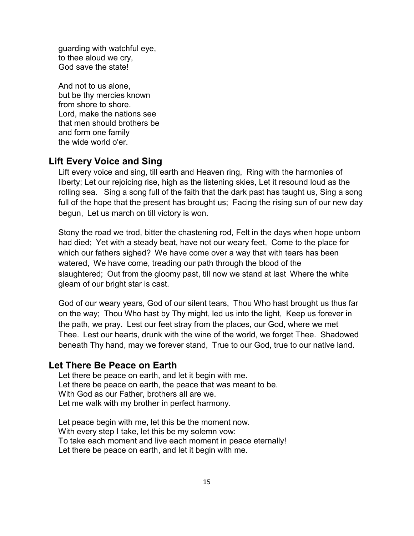guarding with watchful eye, to thee aloud we cry, God save the state!

And not to us alone, but be thy mercies known from shore to shore. Lord, make the nations see that men should brothers be and form one family the wide world o'er.

### **Lift Every Voice and Sing**

Lift every voice and sing, till earth and Heaven ring, Ring with the harmonies of liberty; Let our rejoicing rise, high as the listening skies, Let it resound loud as the rolling sea. Sing a song full of the faith that the dark past has taught us, Sing a song full of the hope that the present has brought us; Facing the rising sun of our new day begun, Let us march on till victory is won.

Stony the road we trod, bitter the chastening rod, Felt in the days when hope unborn had died; Yet with a steady beat, have not our weary feet, Come to the place for which our fathers sighed? We have come over a way that with tears has been watered, We have come, treading our path through the blood of the slaughtered; Out from the gloomy past, till now we stand at last Where the white gleam of our bright star is cast.

God of our weary years, God of our silent tears, Thou Who hast brought us thus far on the way; Thou Who hast by Thy might, led us into the light, Keep us forever in the path, we pray. Lest our feet stray from the places, our God, where we met Thee. Lest our hearts, drunk with the wine of the world, we forget Thee. Shadowed beneath Thy hand, may we forever stand, True to our God, true to our native land.

#### **Let There Be Peace on Earth**

Let there be peace on earth, and let it begin with me. Let there be peace on earth, the peace that was meant to be. With God as our Father, brothers all are we. Let me walk with my brother in perfect harmony.

Let peace begin with me, let this be the moment now. With every step I take, let this be my solemn vow: To take each moment and live each moment in peace eternally! Let there be peace on earth, and let it begin with me.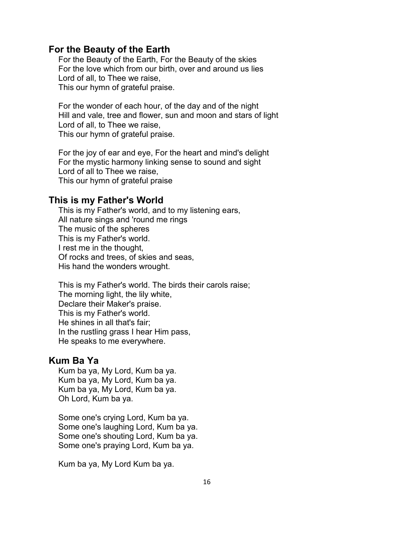#### **For the Beauty of the Earth**

For the Beauty of the Earth, For the Beauty of the skies For the love which from our birth, over and around us lies Lord of all, to Thee we raise, This our hymn of grateful praise.

For the wonder of each hour, of the day and of the night Hill and vale, tree and flower, sun and moon and stars of light Lord of all, to Thee we raise, This our hymn of grateful praise.

For the joy of ear and eye, For the heart and mind's delight For the mystic harmony linking sense to sound and sight Lord of all to Thee we raise, This our hymn of grateful praise

#### **This is my Father's World**

This is my Father's world, and to my listening ears, All nature sings and 'round me rings The music of the spheres This is my Father's world. I rest me in the thought, Of rocks and trees, of skies and seas, His hand the wonders wrought.

This is my Father's world. The birds their carols raise; The morning light, the lily white, Declare their Maker's praise. This is my Father's world. He shines in all that's fair; In the rustling grass I hear Him pass, He speaks to me everywhere.

#### **Kum Ba Ya**

Kum ba ya, My Lord, Kum ba ya. Kum ba ya, My Lord, Kum ba ya. Kum ba ya, My Lord, Kum ba ya. Oh Lord, Kum ba ya.

Some one's crying Lord, Kum ba ya. Some one's laughing Lord, Kum ba ya. Some one's shouting Lord, Kum ba ya. Some one's praying Lord, Kum ba ya.

Kum ba ya, My Lord Kum ba ya.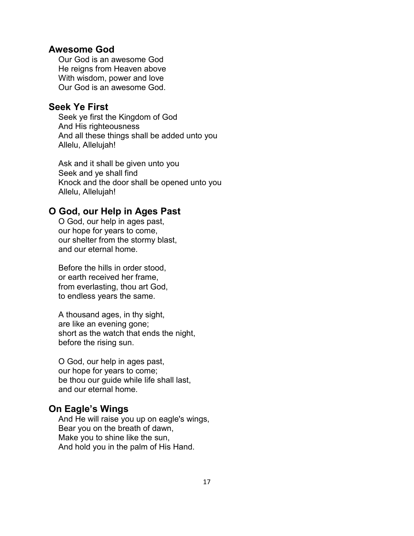## **Awesome God**

Our God is an awesome God He reigns from Heaven above With wisdom, power and love Our God is an awesome God.

# **Seek Ye First**

Seek ye first the Kingdom of God And His righteousness And all these things shall be added unto you Allelu, Allelujah!

Ask and it shall be given unto you Seek and ye shall find Knock and the door shall be opened unto you Allelu, Allelujah!

# **O God, our Help in Ages Past**

O God, our help in ages past, our hope for years to come, our shelter from the stormy blast, and our eternal home.

Before the hills in order stood, or earth received her frame, from everlasting, thou art God, to endless years the same.

A thousand ages, in thy sight, are like an evening gone; short as the watch that ends the night, before the rising sun.

O God, our help in ages past, our hope for years to come; be thou our guide while life shall last, and our eternal home.

# **On Eagle's Wings**

And He will raise you up on eagle's wings, Bear you on the breath of dawn, Make you to shine like the sun, And hold you in the palm of His Hand.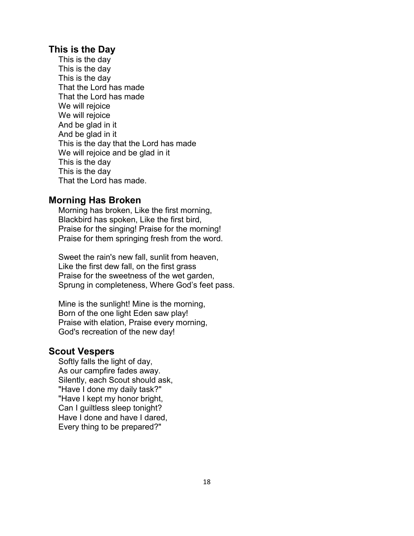#### **This is the Day**

This is the day This is the day This is the day That the Lord has made That the Lord has made We will rejoice We will rejoice And be glad in it And be glad in it This is the day that the Lord has made We will rejoice and be glad in it This is the day This is the day That the Lord has made.

#### **Morning Has Broken**

Morning has broken, Like the first morning, Blackbird has spoken, Like the first bird, Praise for the singing! Praise for the morning! Praise for them springing fresh from the word.

Sweet the rain's new fall, sunlit from heaven, Like the first dew fall, on the first grass Praise for the sweetness of the wet garden, Sprung in completeness, Where God's feet pass.

Mine is the sunlight! Mine is the morning, Born of the one light Eden saw play! Praise with elation, Praise every morning, God's recreation of the new day!

#### **Scout Vespers**

Softly falls the light of day, As our campfire fades away. Silently, each Scout should ask, "Have I done my daily task?" "Have I kept my honor bright, Can I guiltless sleep tonight? Have I done and have I dared, Every thing to be prepared?"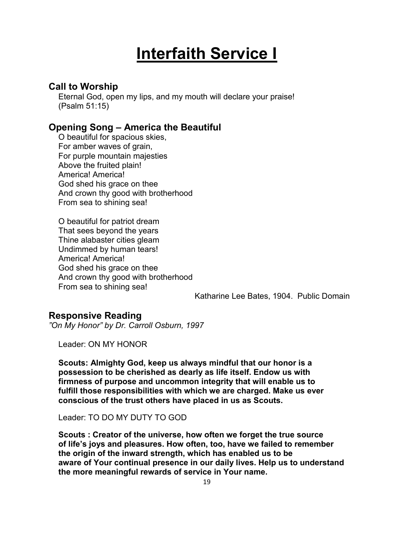# **Interfaith Service I**

# **Call to Worship**

Eternal God, open my lips, and my mouth will declare your praise! (Psalm 51:15)

# **Opening Song – America the Beautiful**

O beautiful for spacious skies, For amber waves of grain. For purple mountain majesties Above the fruited plain! America! America! God shed his grace on thee And crown thy good with brotherhood From sea to shining sea!

O beautiful for patriot dream That sees beyond the years Thine alabaster cities gleam Undimmed by human tears! America! America! God shed his grace on thee And crown thy good with brotherhood From sea to shining sea!

Katharine Lee Bates, 1904. Public Domain

# **Responsive Reading**

*"On My Honor" by Dr. Carroll Osburn, 1997*

Leader: ON MY HONOR

**Scouts: Almighty God, keep us always mindful that our honor is a possession to be cherished as dearly as life itself. Endow us with firmness of purpose and uncommon integrity that will enable us to fulfill those responsibilities with which we are charged. Make us ever conscious of the trust others have placed in us as Scouts.**

Leader: TO DO MY DUTY TO GOD

**Scouts : Creator of the universe, how often we forget the true source of life's joys and pleasures. How often, too, have we failed to remember the origin of the inward strength, which has enabled us to be aware of Your continual presence in our daily lives. Help us to understand the more meaningful rewards of service in Your name.**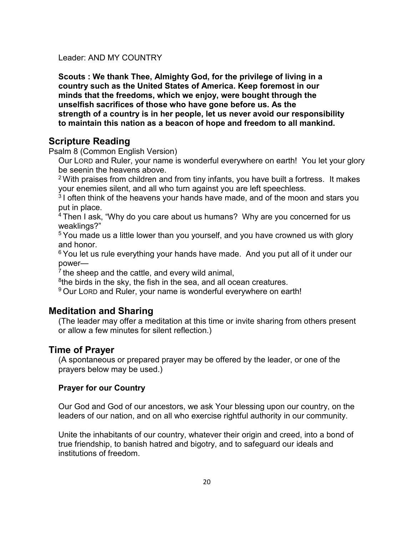Leader: AND MY COUNTRY

**Scouts : We thank Thee, Almighty God, for the privilege of living in a country such as the United States of America. Keep foremost in our minds that the freedoms, which we enjoy, were bought through the unselfish sacrifices of those who have gone before us. As the strength of a country is in her people, let us never avoid our responsibility to maintain this nation as a beacon of hope and freedom to all mankind.**

# **Scripture Reading**

Psalm 8 (Common English Version)

Our LORD and Ruler, your name is wonderful everywhere on earth! You let your glory be seenin the heavens above.

 $2$  With praises from children and from tiny infants, you have built a fortress. It makes your enemies silent, and all who turn against you are left speechless.

<sup>3</sup>I often think of the heavens your hands have made, and of the moon and stars you put in place.

<sup>4</sup> Then I ask, "Why do you care about us humans? Why are you concerned for us weaklings?"

<sup>5</sup> You made us a little lower than you yourself, and you have crowned us with glory and honor.

<sup>6</sup> You let us rule everything your hands have made. And you put all of it under our power—

<sup>7</sup> the sheep and the cattle, and every wild animal,

<sup>8</sup>the birds in the sky, the fish in the sea, and all ocean creatures.

<sup>9</sup> Our LORD and Ruler, your name is wonderful everywhere on earth!

# **Meditation and Sharing**

(The leader may offer a meditation at this time or invite sharing from others present or allow a few minutes for silent reflection.)

# **Time of Prayer**

(A spontaneous or prepared prayer may be offered by the leader, or one of the prayers below may be used.)

#### **Prayer for our Country**

Our God and God of our ancestors, we ask Your blessing upon our country, on the leaders of our nation, and on all who exercise rightful authority in our community.

Unite the inhabitants of our country, whatever their origin and creed, into a bond of true friendship, to banish hatred and bigotry, and to safeguard our ideals and institutions of freedom.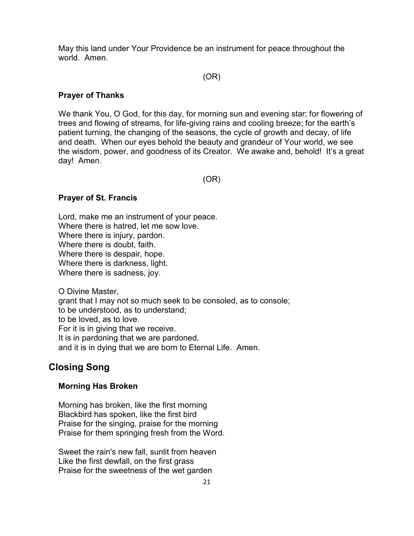May this land under Your Providence be an instrument for peace throughout the world. Amen.

(OR)

#### **Prayer of Thanks**

We thank You, O God, for this day, for morning sun and evening star; for flowering of trees and flowing of streams, for life-giving rains and cooling breeze; for the earth's patient turning, the changing of the seasons, the cycle of growth and decay, of life and death. When our eyes behold the beauty and grandeur of Your world, we see the wisdom, power, and goodness of its Creator. We awake and, behold! It's a great day! Amen.

(OR)

# **Prayer of St. Francis**

Lord, make me an instrument of your peace. Where there is hatred, let me sow love. Where there is injury, pardon. Where there is doubt, faith. Where there is despair, hope. Where there is darkness, light. Where there is sadness, joy.

O Divine Master, grant that I may not so much seek to be consoled, as to console; to be understood, as to understand; to be loved, as to love. For it is in giving that we receive. It is in pardoning that we are pardoned, and it is in dying that we are born to Eternal Life. Amen.

# **Closing Song**

# **Morning Has Broken**

Morning has broken, like the first morning Blackbird has spoken, like the first bird Praise for the singing, praise for the morning Praise for them springing fresh from the Word.

Sweet the rain's new fall, sunlit from heaven Like the first dewfall, on the first grass Praise for the sweetness of the wet garden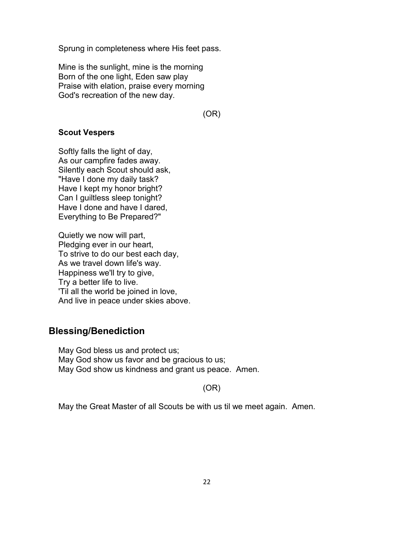Sprung in completeness where His feet pass.

Mine is the sunlight, mine is the morning Born of the one light, Eden saw play Praise with elation, praise every morning God's recreation of the new day.

(OR)

#### **Scout Vespers**

Softly falls the light of day, As our campfire fades away. Silently each Scout should ask, "Have I done my daily task? Have I kept my honor bright? Can I guiltless sleep tonight? Have I done and have I dared, Everything to Be Prepared?"

Quietly we now will part, Pledging ever in our heart, To strive to do our best each day, As we travel down life's way. Happiness we'll try to give, Try a better life to live. 'Til all the world be joined in love, And live in peace under skies above.

# **Blessing/Benediction**

May God bless us and protect us; May God show us favor and be gracious to us; May God show us kindness and grant us peace. Amen.

(OR)

May the Great Master of all Scouts be with us til we meet again. Amen.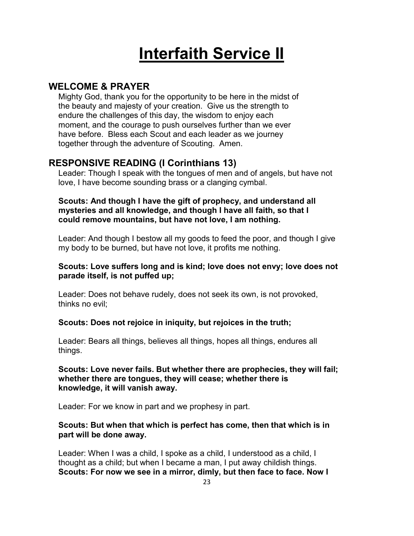# **Interfaith Service II**

# **WELCOME & PRAYER**

Mighty God, thank you for the opportunity to be here in the midst of the beauty and majesty of your creation. Give us the strength to endure the challenges of this day, the wisdom to enjoy each moment, and the courage to push ourselves further than we ever have before. Bless each Scout and each leader as we journey together through the adventure of Scouting. Amen.

# **RESPONSIVE READING (I Corinthians 13)**

Leader: Though I speak with the tongues of men and of angels, but have not love, I have become sounding brass or a clanging cymbal.

#### **Scouts: And though I have the gift of prophecy, and understand all mysteries and all knowledge, and though I have all faith, so that I could remove mountains, but have not love, I am nothing.**

Leader: And though I bestow all my goods to feed the poor, and though I give my body to be burned, but have not love, it profits me nothing.

#### **Scouts: Love suffers long and is kind; love does not envy; love does not parade itself, is not puffed up;**

Leader: Does not behave rudely, does not seek its own, is not provoked, thinks no evil;

### **Scouts: Does not rejoice in iniquity, but rejoices in the truth;**

Leader: Bears all things, believes all things, hopes all things, endures all things.

#### **Scouts: Love never fails. But whether there are prophecies, they will fail; whether there are tongues, they will cease; whether there is knowledge, it will vanish away.**

Leader: For we know in part and we prophesy in part.

### **Scouts: But when that which is perfect has come, then that which is in part will be done away.**

Leader: When I was a child, I spoke as a child, I understood as a child, I thought as a child; but when I became a man, I put away childish things. **Scouts: For now we see in a mirror, dimly, but then face to face. Now I**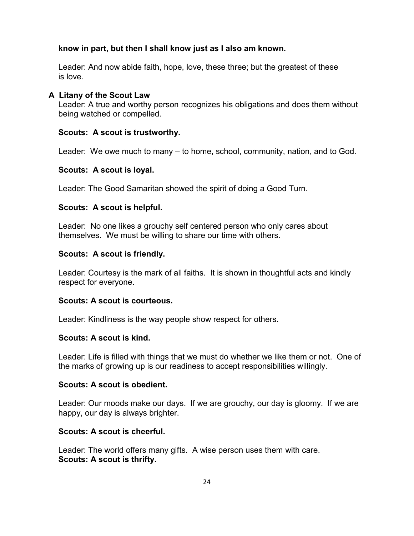#### **know in part, but then I shall know just as I also am known.**

Leader: And now abide faith, hope, love, these three; but the greatest of these is love.

#### **A Litany of the Scout Law**

Leader: A true and worthy person recognizes his obligations and does them without being watched or compelled.

#### **Scouts: A scout is trustworthy.**

Leader: We owe much to many – to home, school, community, nation, and to God.

#### **Scouts: A scout is loyal.**

Leader: The Good Samaritan showed the spirit of doing a Good Turn.

#### **Scouts: A scout is helpful.**

Leader: No one likes a grouchy self centered person who only cares about themselves. We must be willing to share our time with others.

#### **Scouts: A scout is friendly.**

Leader: Courtesy is the mark of all faiths. It is shown in thoughtful acts and kindly respect for everyone.

#### **Scouts: A scout is courteous.**

Leader: Kindliness is the way people show respect for others.

#### **Scouts: A scout is kind.**

Leader: Life is filled with things that we must do whether we like them or not. One of the marks of growing up is our readiness to accept responsibilities willingly.

#### **Scouts: A scout is obedient.**

Leader: Our moods make our days. If we are grouchy, our day is gloomy. If we are happy, our day is always brighter.

#### **Scouts: A scout is cheerful.**

Leader: The world offers many gifts. A wise person uses them with care. **Scouts: A scout is thrifty.**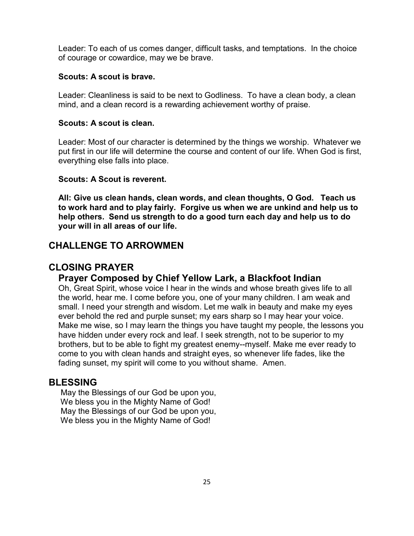Leader: To each of us comes danger, difficult tasks, and temptations. In the choice of courage or cowardice, may we be brave.

#### **Scouts: A scout is brave.**

Leader: Cleanliness is said to be next to Godliness. To have a clean body, a clean mind, and a clean record is a rewarding achievement worthy of praise.

#### **Scouts: A scout is clean.**

Leader: Most of our character is determined by the things we worship. Whatever we put first in our life will determine the course and content of our life. When God is first, everything else falls into place.

#### **Scouts: A Scout is reverent.**

**All: Give us clean hands, clean words, and clean thoughts, O God. Teach us to work hard and to play fairly. Forgive us when we are unkind and help us to help others. Send us strength to do a good turn each day and help us to do your will in all areas of our life.** 

# **CHALLENGE TO ARROWMEN**

# **CLOSING PRAYER**

# **Prayer Composed by Chief Yellow Lark, a Blackfoot Indian**

Oh, Great Spirit, whose voice I hear in the winds and whose breath gives life to all the world, hear me. I come before you, one of your many children. I am weak and small. I need your strength and wisdom. Let me walk in beauty and make my eyes ever behold the red and purple sunset; my ears sharp so I may hear your voice. Make me wise, so I may learn the things you have taught my people, the lessons you have hidden under every rock and leaf. I seek strength, not to be superior to my brothers, but to be able to fight my greatest enemy--myself. Make me ever ready to come to you with clean hands and straight eyes, so whenever life fades, like the fading sunset, my spirit will come to you without shame. Amen.

# **BLESSING**

May the Blessings of our God be upon you, We bless you in the Mighty Name of God! May the Blessings of our God be upon you, We bless you in the Mighty Name of God!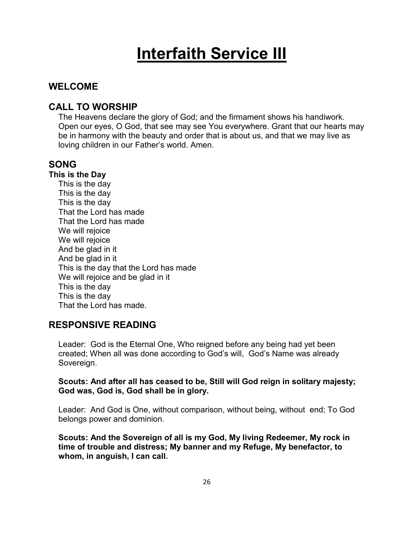# **Interfaith Service III**

# **WELCOME**

# **CALL TO WORSHIP**

The Heavens declare the glory of God; and the firmament shows his handiwork. Open our eyes, O God, that see may see You everywhere. Grant that our hearts may be in harmony with the beauty and order that is about us, and that we may live as loving children in our Father's world. Amen.

# **SONG**

#### **This is the Day**

This is the day This is the day This is the day That the Lord has made That the Lord has made We will rejoice We will rejoice And be glad in it And be glad in it This is the day that the Lord has made We will rejoice and be glad in it This is the day This is the day That the Lord has made.

# **RESPONSIVE READING**

Leader: God is the Eternal One, Who reigned before any being had yet been created; When all was done according to God's will, God's Name was already Sovereign.

#### **Scouts: And after all has ceased to be, Still will God reign in solitary majesty; God was, God is, God shall be in glory.**

Leader: And God is One, without comparison, without being, without end; To God belongs power and dominion.

**Scouts: And the Sovereign of all is my God, My living Redeemer, My rock in time of trouble and distress; My banner and my Refuge, My benefactor, to whom, in anguish, I can call.**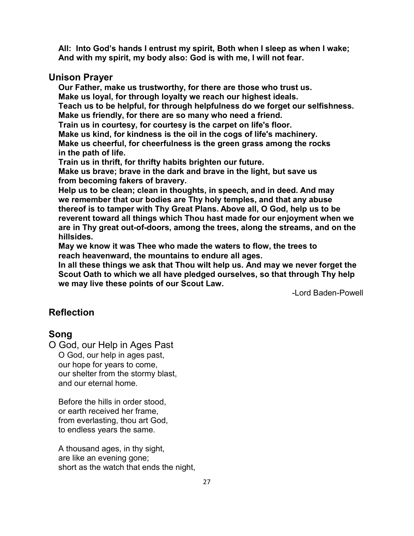**All: Into God's hands I entrust my spirit, Both when I sleep as when I wake; And with my spirit, my body also: God is with me, I will not fear.**

# **Unison Prayer**

**Our Father, make us trustworthy, for there are those who trust us. Make us loyal, for through loyalty we reach our highest ideals. Teach us to be helpful, for through helpfulness do we forget our selfishness. Make us friendly, for there are so many who need a friend.** 

**Train us in courtesy, for courtesy is the carpet on life's floor.** 

**Make us kind, for kindness is the oil in the cogs of life's machinery.** 

**Make us cheerful, for cheerfulness is the green grass among the rocks in the path of life.** 

**Train us in thrift, for thrifty habits brighten our future.** 

**Make us brave; brave in the dark and brave in the light, but save us from becoming fakers of bravery.** 

**Help us to be clean; clean in thoughts, in speech, and in deed. And may we remember that our bodies are Thy holy temples, and that any abuse thereof is to tamper with Thy Great Plans. Above all, O God, help us to be reverent toward all things which Thou hast made for our enjoyment when we are in Thy great out-of-doors, among the trees, along the streams, and on the hillsides.** 

**May we know it was Thee who made the waters to flow, the trees to reach heavenward, the mountains to endure all ages.** 

**In all these things we ask that Thou wilt help us. And may we never forget the Scout Oath to which we all have pledged ourselves, so that through Thy help we may live these points of our Scout Law.** 

-Lord Baden-Powell

# **Reflection**

# **Song**

O God, our Help in Ages Past O God, our help in ages past, our hope for years to come, our shelter from the stormy blast, and our eternal home.

Before the hills in order stood, or earth received her frame, from everlasting, thou art God, to endless years the same.

A thousand ages, in thy sight, are like an evening gone; short as the watch that ends the night,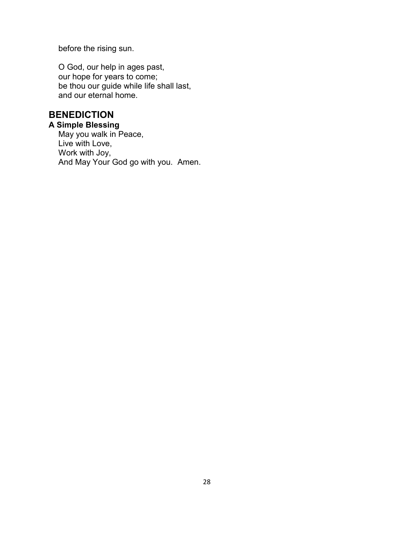before the rising sun.

O God, our help in ages past, our hope for years to come; be thou our guide while life shall last, and our eternal home.

# **BENEDICTION**

# **A Simple Blessing**

May you walk in Peace, Live with Love, Work with Joy, And May Your God go with you. Amen.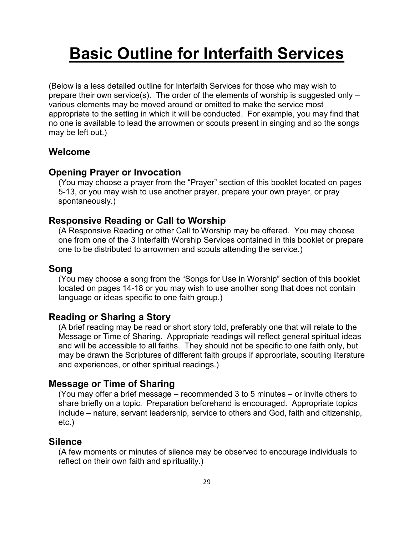# **Basic Outline for Interfaith Services**

(Below is a less detailed outline for Interfaith Services for those who may wish to prepare their own service(s). The order of the elements of worship is suggested only – various elements may be moved around or omitted to make the service most appropriate to the setting in which it will be conducted. For example, you may find that no one is available to lead the arrowmen or scouts present in singing and so the songs may be left out.)

## **Welcome**

#### **Opening Prayer or Invocation**

(You may choose a prayer from the "Prayer" section of this booklet located on pages 5-13, or you may wish to use another prayer, prepare your own prayer, or pray spontaneously.)

### **Responsive Reading or Call to Worship**

(A Responsive Reading or other Call to Worship may be offered. You may choose one from one of the 3 Interfaith Worship Services contained in this booklet or prepare one to be distributed to arrowmen and scouts attending the service.)

#### **Song**

(You may choose a song from the "Songs for Use in Worship" section of this booklet located on pages 14-18 or you may wish to use another song that does not contain language or ideas specific to one faith group.)

#### **Reading or Sharing a Story**

(A brief reading may be read or short story told, preferably one that will relate to the Message or Time of Sharing. Appropriate readings will reflect general spiritual ideas and will be accessible to all faiths. They should not be specific to one faith only, but may be drawn the Scriptures of different faith groups if appropriate, scouting literature and experiences, or other spiritual readings.)

# **Message or Time of Sharing**

(You may offer a brief message – recommended 3 to 5 minutes – or invite others to share briefly on a topic. Preparation beforehand is encouraged. Appropriate topics include – nature, servant leadership, service to others and God, faith and citizenship, etc.)

#### **Silence**

(A few moments or minutes of silence may be observed to encourage individuals to reflect on their own faith and spirituality.)